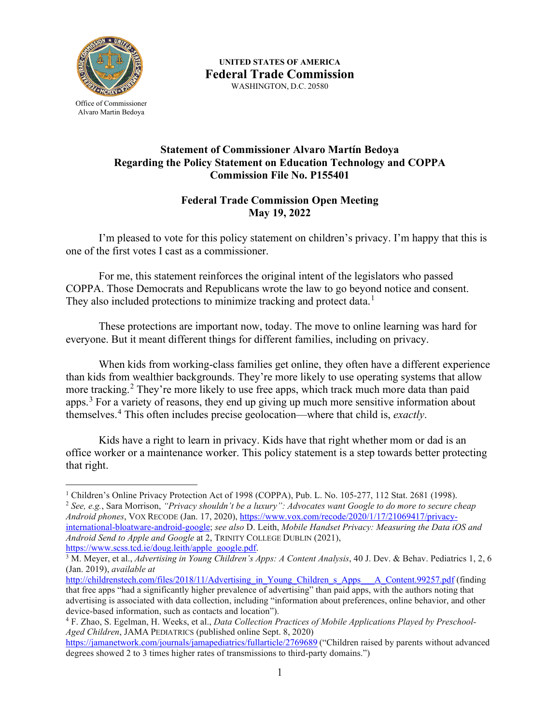

**UNITED STATES OF AMERICA Federal Trade Commission** WASHINGTON, D.C. 20580

Office of Commissioner Alvaro Martin Bedoya

## **Statement of Commissioner Alvaro Martín Bedoya Regarding the Policy Statement on Education Technology and COPPA Commission File No. P155401**

## **Federal Trade Commission Open Meeting May 19, 2022**

I'm pleased to vote for this policy statement on children's privacy. I'm happy that this is one of the first votes I cast as a commissioner.

For me, this statement reinforces the original intent of the legislators who passed COPPA. Those Democrats and Republicans wrote the law to go beyond notice and consent. They also included protections to minimize tracking and protect data.<sup>[1](#page-0-0)</sup>

These protections are important now, today. The move to online learning was hard for everyone. But it meant different things for different families, including on privacy.

When kids from working-class families get online, they often have a different experience than kids from wealthier backgrounds. They're more likely to use operating systems that allow more tracking.<sup>[2](#page-0-1)</sup> They're more likely to use free apps, which track much more data than paid apps.<sup>[3](#page-0-2)</sup> For a variety of reasons, they end up giving up much more sensitive information about themselves.[4](#page-0-3) This often includes precise geolocation—where that child is, *exactly*.

Kids have a right to learn in privacy. Kids have that right whether mom or dad is an office worker or a maintenance worker. This policy statement is a step towards better protecting that right.

<span id="page-0-1"></span><sup>2</sup> *See, e.g.*, Sara Morrison, *"Privacy shouldn't be a luxury": Advocates want Google to do more to secure cheap Android phones*, VOX RECODE (Jan. 17, 2020), [https://www.vox.com/recode/2020/1/17/21069417/privacy](https://www.vox.com/recode/2020/1/17/21069417/privacy-international-bloatware-android-google)[international-bloatware-android-google;](https://www.vox.com/recode/2020/1/17/21069417/privacy-international-bloatware-android-google) *see also* D. Leith, *Mobile Handset Privacy: Measuring the Data iOS and Android Send to Apple and Google* at 2, TRINITY COLLEGE DUBLIN (2021), [https://www.scss.tcd.ie/doug.leith/apple\\_google.pdf.](https://www.scss.tcd.ie/doug.leith/apple_google.pdf)

<span id="page-0-0"></span><sup>&</sup>lt;sup>1</sup> Children's Online Privacy Protection Act of 1998 (COPPA), Pub. L. No. 105-277, 112 Stat. 2681 (1998).

<span id="page-0-2"></span><sup>&</sup>lt;sup>3</sup> M. Meyer, et al., *Advertising in Young Children's Apps: A Content Analysis*, 40 J. Dev. & Behav. Pediatrics 1, 2, 6 (Jan. 2019), *available at*

[http://childrenstech.com/files/2018/11/Advertising\\_in\\_Young\\_Children\\_s\\_Apps\\_\\_\\_A\\_Content.99257.pdf](http://childrenstech.com/files/2018/11/Advertising_in_Young_Children_s_Apps___A_Content.99257.pdf) (finding that free apps "had a significantly higher prevalence of advertising" than paid apps, with the authors noting that advertising is associated with data collection, including "information about preferences, online behavior, and other device-based information, such as contacts and location").

<span id="page-0-3"></span><sup>4</sup> F. Zhao, S. Egelman, H. Weeks, et al., *Data Collection Practices of Mobile Applications Played by Preschool-Aged Children*, JAMA PEDIATRICS (published online Sept. 8, 2020)

<https://jamanetwork.com/journals/jamapediatrics/fullarticle/2769689> ("Children raised by parents without advanced degrees showed 2 to 3 times higher rates of transmissions to third-party domains.")